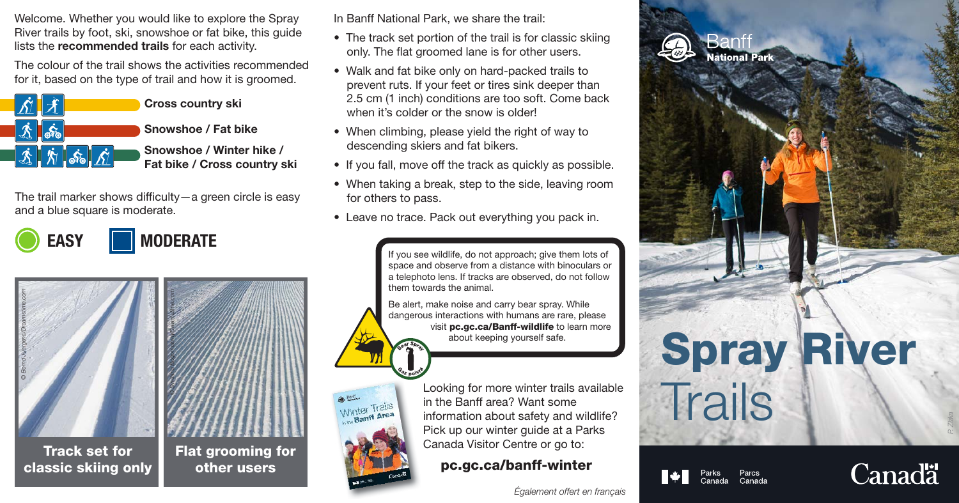Welcome. Whether you would like to explore the Spray River trails by foot, ski, snowshoe or fat bike, this guide lists the recommended trails for each activity.

The colour of the trail shows the activities recommended for it, based on the type of trail and how it is groomed.



Snowshoe / Winter hike / Fat bike / Cross country ski

The trail marker shows difficulty—a green circle is easy and a blue square is moderate.

EASY **MODERATE** 



Track set for classic skiing only



Winter Trails Winter<br>Banff Area

other users

In Banff National Park, we share the trail:

- The track set portion of the trail is for classic skiing only. The flat groomed lane is for other users.
- Walk and fat bike only on hard-packed trails to prevent ruts. If your feet or tires sink deeper than 2.5 cm (1 inch) conditions are too soft. Come back when it's colder or the snow is older!
- When climbing, please yield the right of way to descending skiers and fat bikers.
- If you fall, move off the track as quickly as possible.
- When taking a break, step to the side, leaving room for others to pass.
- Leave no trace. Pack out everything you pack in.

If you see wildlife, do not approach; give them lots of space and observe from a distance with binoculars or a telephoto lens. If tracks are observed, do not follow them towards the animal.

Be alert, make noise and carry bear spray. While dangerous interactions with humans are rare, please visit pc.gc.ca/Banff-wildlife to learn more about keeping yourself safe.

> Looking for more winter trails available in the Banff area? Want some information about safety and wildlife? Pick up our winter guide at a Parks Canada Visitor Centre or go to:

pc.gc.ca/banff-winter





**Vational Park** 



Parcs<br>Canada



*P. Zizka*